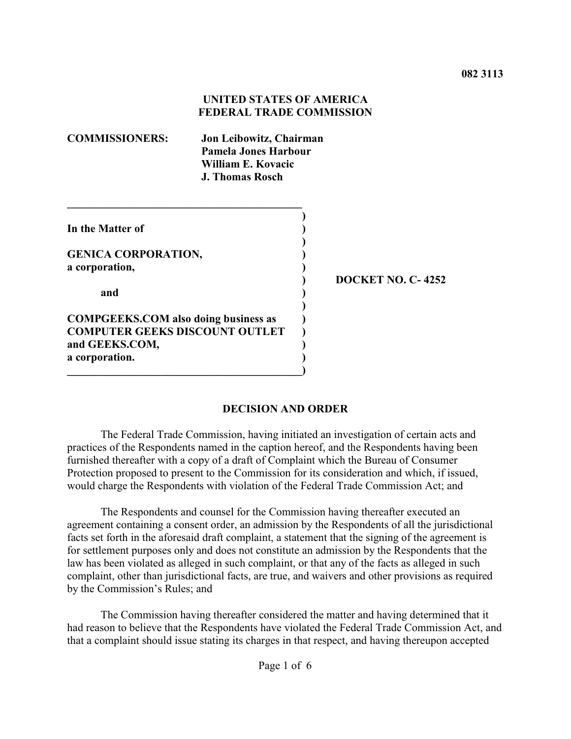## **UNITED STATES OF AMERICA FEDERAL TRADE COMMISSION**

| <b>COMMISSIONERS:</b>                       | Jon Leibowitz, Chairman<br>Pamela Jones Harbour<br>William E. Kovacic<br><b>J. Thomas Rosch</b> |  |
|---------------------------------------------|-------------------------------------------------------------------------------------------------|--|
|                                             |                                                                                                 |  |
| In the Matter of                            |                                                                                                 |  |
|                                             |                                                                                                 |  |
| <b>GENICA CORPORATION,</b>                  |                                                                                                 |  |
| a corporation,                              |                                                                                                 |  |
|                                             |                                                                                                 |  |
| and                                         |                                                                                                 |  |
|                                             |                                                                                                 |  |
| <b>COMPGEEKS.COM also doing business as</b> |                                                                                                 |  |
| <b>COMPUTER GEEKS DISCOUNT OUTLET</b>       |                                                                                                 |  |
| and GEEKS.COM,                              |                                                                                                 |  |

**a corporation. ) \_\_\_\_\_\_\_\_\_\_\_\_\_\_\_\_\_\_\_\_\_\_\_\_\_\_\_\_\_\_\_\_\_\_\_\_\_\_\_\_\_\_)**

**) DOCKET NO. C- 4252**

### **DECISION AND ORDER**

The Federal Trade Commission, having initiated an investigation of certain acts and practices of the Respondents named in the caption hereof, and the Respondents having been furnished thereafter with a copy of a draft of Complaint which the Bureau of Consumer Protection proposed to present to the Commission for its consideration and which, if issued, would charge the Respondents with violation of the Federal Trade Commission Act; and

The Respondents and counsel for the Commission having thereafter executed an agreement containing a consent order, an admission by the Respondents of all the jurisdictional facts set forth in the aforesaid draft complaint, a statement that the signing of the agreement is for settlement purposes only and does not constitute an admission by the Respondents that the law has been violated as alleged in such complaint, or that any of the facts as alleged in such complaint, other than jurisdictional facts, are true, and waivers and other provisions as required by the Commission's Rules; and

The Commission having thereafter considered the matter and having determined that it had reason to believe that the Respondents have violated the Federal Trade Commission Act, and that a complaint should issue stating its charges in that respect, and having thereupon accepted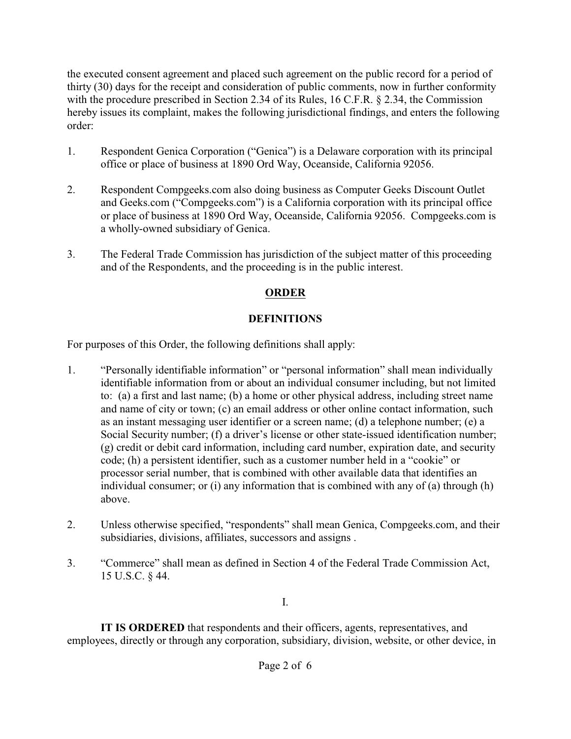the executed consent agreement and placed such agreement on the public record for a period of thirty (30) days for the receipt and consideration of public comments, now in further conformity with the procedure prescribed in Section 2.34 of its Rules, 16 C.F.R. § 2.34, the Commission hereby issues its complaint, makes the following jurisdictional findings, and enters the following order:

- 1. Respondent Genica Corporation ("Genica") is a Delaware corporation with its principal office or place of business at 1890 Ord Way, Oceanside, California 92056.
- 2. Respondent Compgeeks.com also doing business as Computer Geeks Discount Outlet and Geeks.com ("Compgeeks.com") is a California corporation with its principal office or place of business at 1890 Ord Way, Oceanside, California 92056. Compgeeks.com is a wholly-owned subsidiary of Genica.
- 3. The Federal Trade Commission has jurisdiction of the subject matter of this proceeding and of the Respondents, and the proceeding is in the public interest.

# **ORDER**

# **DEFINITIONS**

For purposes of this Order, the following definitions shall apply:

- 1. "Personally identifiable information" or "personal information" shall mean individually identifiable information from or about an individual consumer including, but not limited to: (a) a first and last name; (b) a home or other physical address, including street name and name of city or town; (c) an email address or other online contact information, such as an instant messaging user identifier or a screen name; (d) a telephone number; (e) a Social Security number; (f) a driver's license or other state-issued identification number; (g) credit or debit card information, including card number, expiration date, and security code; (h) a persistent identifier, such as a customer number held in a "cookie" or processor serial number, that is combined with other available data that identifies an individual consumer; or (i) any information that is combined with any of (a) through (h) above.
- 2. Unless otherwise specified, "respondents" shall mean Genica, Compgeeks.com, and their subsidiaries, divisions, affiliates, successors and assigns .
- 3. "Commerce" shall mean as defined in Section 4 of the Federal Trade Commission Act, 15 U.S.C. § 44.

I.

**IT IS ORDERED** that respondents and their officers, agents, representatives, and employees, directly or through any corporation, subsidiary, division, website, or other device, in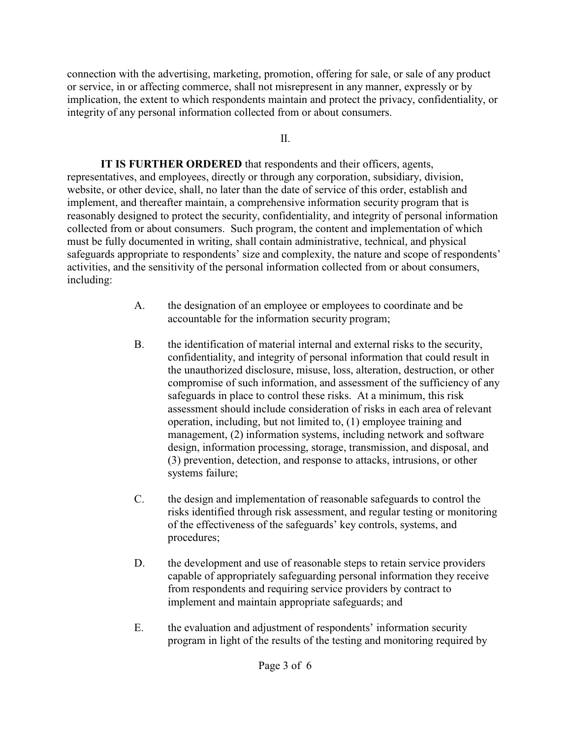connection with the advertising, marketing, promotion, offering for sale, or sale of any product or service, in or affecting commerce, shall not misrepresent in any manner, expressly or by implication, the extent to which respondents maintain and protect the privacy, confidentiality, or integrity of any personal information collected from or about consumers.

II.

**IT IS FURTHER ORDERED** that respondents and their officers, agents, representatives, and employees, directly or through any corporation, subsidiary, division, website, or other device, shall, no later than the date of service of this order, establish and implement, and thereafter maintain, a comprehensive information security program that is reasonably designed to protect the security, confidentiality, and integrity of personal information collected from or about consumers. Such program, the content and implementation of which must be fully documented in writing, shall contain administrative, technical, and physical safeguards appropriate to respondents' size and complexity, the nature and scope of respondents' activities, and the sensitivity of the personal information collected from or about consumers, including:

- A. the designation of an employee or employees to coordinate and be accountable for the information security program;
- B. the identification of material internal and external risks to the security, confidentiality, and integrity of personal information that could result in the unauthorized disclosure, misuse, loss, alteration, destruction, or other compromise of such information, and assessment of the sufficiency of any safeguards in place to control these risks. At a minimum, this risk assessment should include consideration of risks in each area of relevant operation, including, but not limited to, (1) employee training and management, (2) information systems, including network and software design, information processing, storage, transmission, and disposal, and (3) prevention, detection, and response to attacks, intrusions, or other systems failure;
- C. the design and implementation of reasonable safeguards to control the risks identified through risk assessment, and regular testing or monitoring of the effectiveness of the safeguards' key controls, systems, and procedures;
- D. the development and use of reasonable steps to retain service providers capable of appropriately safeguarding personal information they receive from respondents and requiring service providers by contract to implement and maintain appropriate safeguards; and
- E. the evaluation and adjustment of respondents' information security program in light of the results of the testing and monitoring required by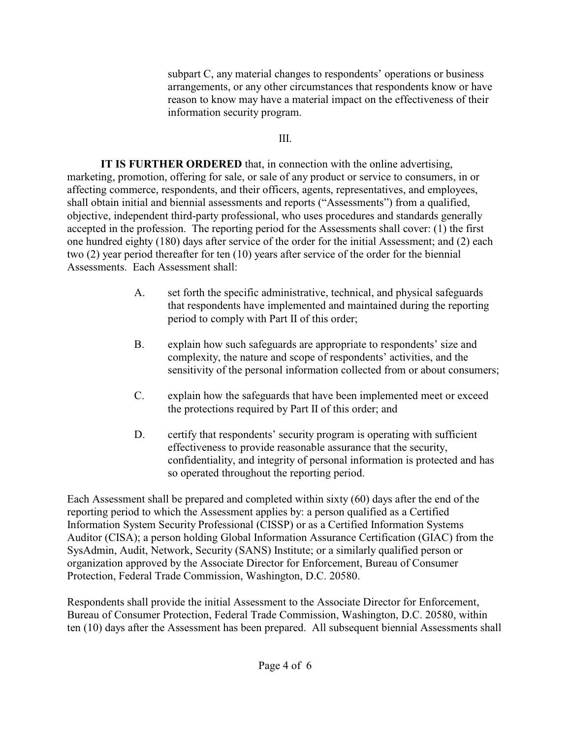subpart C, any material changes to respondents' operations or business arrangements, or any other circumstances that respondents know or have reason to know may have a material impact on the effectiveness of their information security program.

## III.

**IT IS FURTHER ORDERED** that, in connection with the online advertising, marketing, promotion, offering for sale, or sale of any product or service to consumers, in or affecting commerce, respondents, and their officers, agents, representatives, and employees, shall obtain initial and biennial assessments and reports ("Assessments") from a qualified, objective, independent third-party professional, who uses procedures and standards generally accepted in the profession. The reporting period for the Assessments shall cover: (1) the first one hundred eighty (180) days after service of the order for the initial Assessment; and (2) each two (2) year period thereafter for ten (10) years after service of the order for the biennial Assessments. Each Assessment shall:

- A. set forth the specific administrative, technical, and physical safeguards that respondents have implemented and maintained during the reporting period to comply with Part II of this order;
- B. explain how such safeguards are appropriate to respondents' size and complexity, the nature and scope of respondents' activities, and the sensitivity of the personal information collected from or about consumers;
- C. explain how the safeguards that have been implemented meet or exceed the protections required by Part II of this order; and
- D. certify that respondents' security program is operating with sufficient effectiveness to provide reasonable assurance that the security, confidentiality, and integrity of personal information is protected and has so operated throughout the reporting period.

Each Assessment shall be prepared and completed within sixty (60) days after the end of the reporting period to which the Assessment applies by: a person qualified as a Certified Information System Security Professional (CISSP) or as a Certified Information Systems Auditor (CISA); a person holding Global Information Assurance Certification (GIAC) from the SysAdmin, Audit, Network, Security (SANS) Institute; or a similarly qualified person or organization approved by the Associate Director for Enforcement, Bureau of Consumer Protection, Federal Trade Commission, Washington, D.C. 20580.

Respondents shall provide the initial Assessment to the Associate Director for Enforcement, Bureau of Consumer Protection, Federal Trade Commission, Washington, D.C. 20580, within ten (10) days after the Assessment has been prepared. All subsequent biennial Assessments shall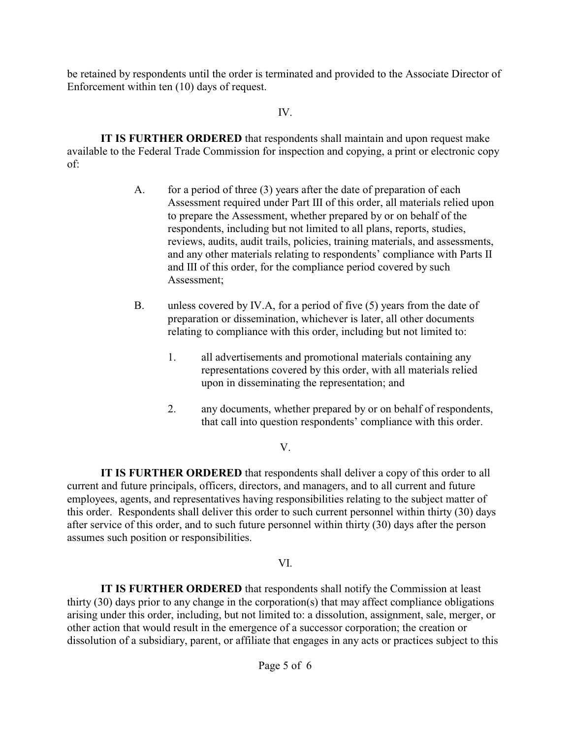be retained by respondents until the order is terminated and provided to the Associate Director of Enforcement within ten (10) days of request.

### IV.

**IT IS FURTHER ORDERED** that respondents shall maintain and upon request make available to the Federal Trade Commission for inspection and copying, a print or electronic copy of:

- A. for a period of three (3) years after the date of preparation of each Assessment required under Part III of this order, all materials relied upon to prepare the Assessment, whether prepared by or on behalf of the respondents, including but not limited to all plans, reports, studies, reviews, audits, audit trails, policies, training materials, and assessments, and any other materials relating to respondents' compliance with Parts II and III of this order, for the compliance period covered by such Assessment;
- B. unless covered by IV.A, for a period of five (5) years from the date of preparation or dissemination, whichever is later, all other documents relating to compliance with this order, including but not limited to:
	- 1. all advertisements and promotional materials containing any representations covered by this order, with all materials relied upon in disseminating the representation; and
	- 2. any documents, whether prepared by or on behalf of respondents, that call into question respondents' compliance with this order.

## V.

**IT IS FURTHER ORDERED** that respondents shall deliver a copy of this order to all current and future principals, officers, directors, and managers, and to all current and future employees, agents, and representatives having responsibilities relating to the subject matter of this order. Respondents shall deliver this order to such current personnel within thirty (30) days after service of this order, and to such future personnel within thirty (30) days after the person assumes such position or responsibilities.

## VI.

**IT IS FURTHER ORDERED** that respondents shall notify the Commission at least thirty (30) days prior to any change in the corporation(s) that may affect compliance obligations arising under this order, including, but not limited to: a dissolution, assignment, sale, merger, or other action that would result in the emergence of a successor corporation; the creation or dissolution of a subsidiary, parent, or affiliate that engages in any acts or practices subject to this